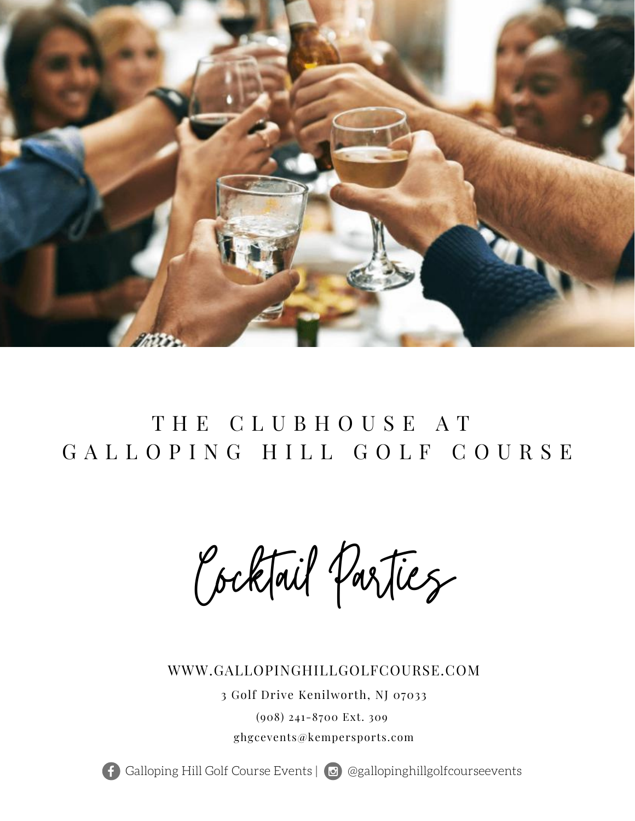

# T H E C L U B H O U S E A T GALLOPING HILL GOLF COURSE

Cocktail Parties

### WWW.GALLOPINGHILLGOLFCOURSE.COM

3 Golf Drive Kenilworth, NJ 07033 (908) 241-8700 Ext. 309 ghgcevents@kempersports.com

Galloping Hill Golf Course Events | @gallopinghillgolfcourseevents

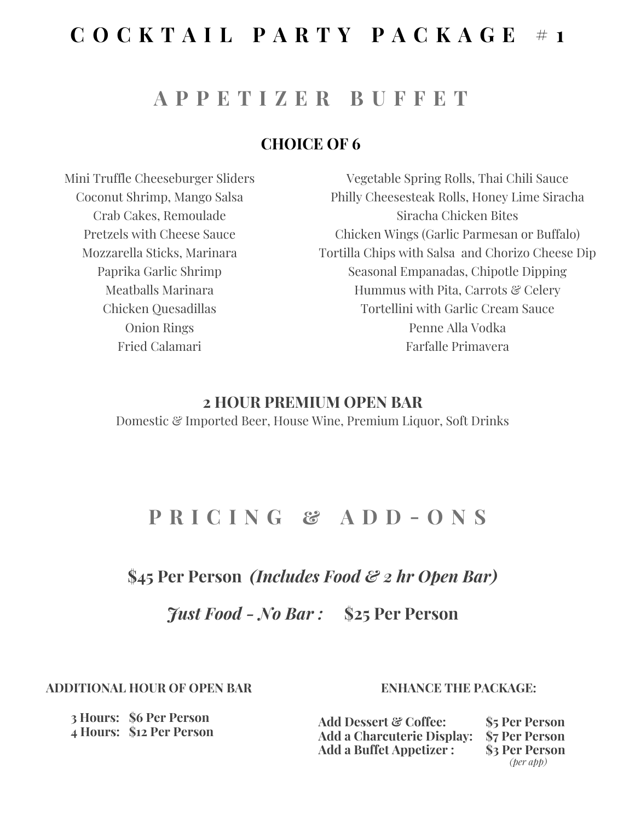## **C O C K T A I L P A R T Y P A C K A G E # 1**

### **A P P E T I Z E R B U F F E T**

### **CHOICE OF 6**

Mini Truffle Cheeseburger Sliders Coconut Shrimp, Mango Salsa Crab Cakes, Remoulade Pretzels with Cheese Sauce Mozzarella Sticks, Marinara Paprika Garlic Shrimp Meatballs Marinara Chicken Quesadillas Onion Rings Fried Calamari

Vegetable Spring Rolls, Thai Chili Sauce Philly Cheesesteak Rolls, Honey Lime Siracha Siracha Chicken Bites Chicken Wings (Garlic Parmesan or Buffalo) Tortilla Chips with Salsa and Chorizo Cheese Dip Seasonal Empanadas, Chipotle Dipping Hummus with Pita, Carrots & Celery Tortellini with Garlic Cream Sauce Penne Alla Vodka Farfalle Primavera

#### **2 HOUR PREMIUM OPEN BAR**

Domestic & Imported Beer, House Wine, Premium Liquor, Soft Drinks

## **P R I C I N G & A D D - O N S**

### **\$45 Per Person** *(Includes Food & 2 hr Open Bar)*

*Just Food - No Bar :* **\$25 Per Person**

**ADDITIONAL HOUR OF OPEN BAR**

#### **ENHANCE THE PACKAGE:**

**Add Dessert & Coffee: Add a Charcuterie Display: Add a Buffet Appetizer : \$5 Per Person \$7 Per Person \$3 Per Person** *(per app)*

**3 Hours: \$6 Per Person 4 Hours: \$12 Per Person**